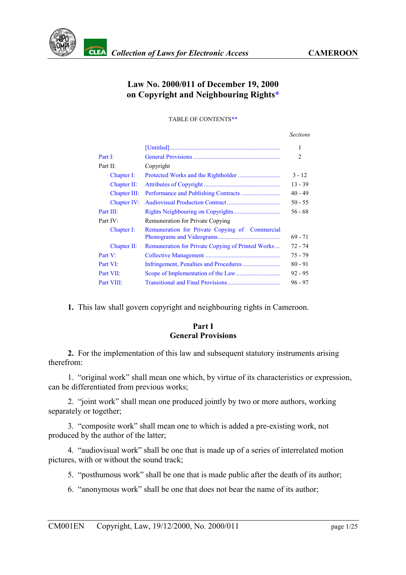

# **Law No. 2000/011 of December 19, 2000 on Copyright and Neighbouring Rights[\\*](#page-24-0)**

TABLE OF CONTENT[S\\*\\*](#page-24-1)

|              |                                                   | <b>Sections</b> |
|--------------|---------------------------------------------------|-----------------|
|              |                                                   | 1               |
| Part I:      |                                                   | 2               |
| Part II:     | Copyright                                         |                 |
| Chapter I:   |                                                   | $3 - 12$        |
| Chapter II:  |                                                   | $13 - 39$       |
| Chapter III: |                                                   | $40 - 49$       |
| Chapter IV:  |                                                   | $50 - 55$       |
| Part III:    |                                                   | $56 - 68$       |
| Part IV:     | <b>Remuneration for Private Copying</b>           |                 |
| Chapter I:   | Remuneration for Private Copying of Commercial    | $69 - 71$       |
| Chapter II:  | Remuneration for Private Copying of Printed Works | 72 - 74         |
| Part V:      |                                                   | 75 - 79         |
| Part VI:     |                                                   | $80 - 91$       |
| Part VII:    |                                                   | $92 - 95$       |
| Part VIII:   |                                                   | $96 - 97$       |

<span id="page-0-0"></span>**1.** This law shall govern copyright and neighbouring rights in Cameroon.

# **Part I General Provisions**

<span id="page-0-1"></span>**2.** For the implementation of this law and subsequent statutory instruments arising therefrom:

1. "original work" shall mean one which, by virtue of its characteristics or expression, can be differentiated from previous works;

2. "joint work" shall mean one produced jointly by two or more authors, working separately or together;

3. "composite work" shall mean one to which is added a pre-existing work, not produced by the author of the latter;

4. "audiovisual work" shall be one that is made up of a series of interrelated motion pictures, with or without the sound track;

5. "posthumous work" shall be one that is made public after the death of its author;

6. "anonymous work" shall be one that does not bear the name of its author;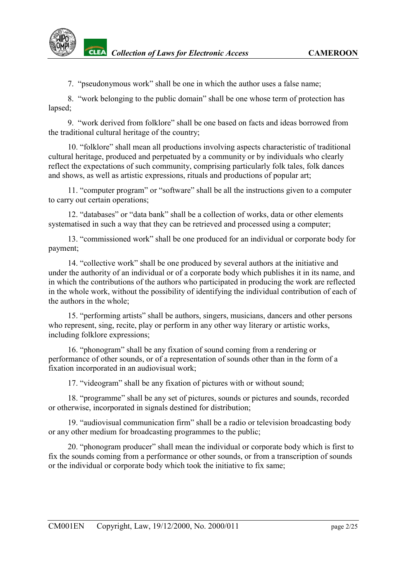

**CLEA** Collection of Laws for Electronic Access **CAMEROON** 

7. "pseudonymous work" shall be one in which the author uses a false name;

8. "work belonging to the public domain" shall be one whose term of protection has lapsed;

9. "work derived from folklore" shall be one based on facts and ideas borrowed from the traditional cultural heritage of the country;

10. "folklore" shall mean all productions involving aspects characteristic of traditional cultural heritage, produced and perpetuated by a community or by individuals who clearly reflect the expectations of such community, comprising particularly folk tales, folk dances and shows, as well as artistic expressions, rituals and productions of popular art;

11. "computer program" or "software" shall be all the instructions given to a computer to carry out certain operations;

12. "databases" or "data bank" shall be a collection of works, data or other elements systematised in such a way that they can be retrieved and processed using a computer;

13. "commissioned work" shall be one produced for an individual or corporate body for payment;

14. "collective work" shall be one produced by several authors at the initiative and under the authority of an individual or of a corporate body which publishes it in its name, and in which the contributions of the authors who participated in producing the work are reflected in the whole work, without the possibility of identifying the individual contribution of each of the authors in the whole;

15. "performing artists" shall be authors, singers, musicians, dancers and other persons who represent, sing, recite, play or perform in any other way literary or artistic works, including folklore expressions;

16. "phonogram" shall be any fixation of sound coming from a rendering or performance of other sounds, or of a representation of sounds other than in the form of a fixation incorporated in an audiovisual work;

17. "videogram" shall be any fixation of pictures with or without sound;

18. "programme" shall be any set of pictures, sounds or pictures and sounds, recorded or otherwise, incorporated in signals destined for distribution;

19. "audiovisual communication firm" shall be a radio or television broadcasting body or any other medium for broadcasting programmes to the public;

20. "phonogram producer" shall mean the individual or corporate body which is first to fix the sounds coming from a performance or other sounds, or from a transcription of sounds or the individual or corporate body which took the initiative to fix same;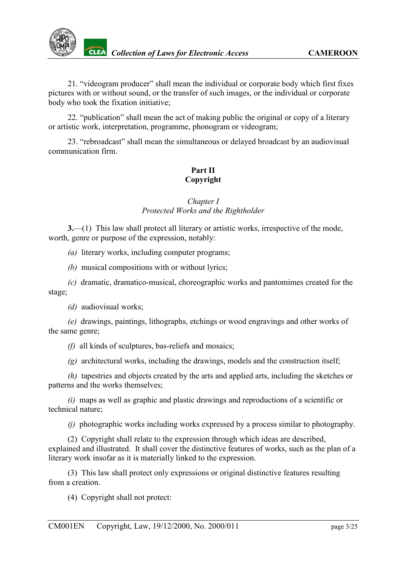

21. "videogram producer" shall mean the individual or corporate body which first fixes pictures with or without sound, or the transfer of such images, or the individual or corporate body who took the fixation initiative;

22. "publication" shall mean the act of making public the original or copy of a literary or artistic work, interpretation, programme, phonogram or videogram;

23. "rebroadcast" shall mean the simultaneous or delayed broadcast by an audiovisual communication firm.

# **Part II Copyright**

# *Chapter I Protected Works and the Rightholder*

<span id="page-2-0"></span>**3.**—(1) This law shall protect all literary or artistic works, irrespective of the mode, worth, genre or purpose of the expression, notably:

*(a)* literary works, including computer programs;

*(b)* musical compositions with or without lyrics;

*(c)* dramatic, dramatico-musical, choreographic works and pantomimes created for the stage;

*(d)* audiovisual works;

*(e)* drawings, paintings, lithographs, etchings or wood engravings and other works of the same genre;

*(f)* all kinds of sculptures, bas-reliefs and mosaics;

*(g)* architectural works, including the drawings, models and the construction itself;

*(h)* tapestries and objects created by the arts and applied arts, including the sketches or patterns and the works themselves;

*(i)* maps as well as graphic and plastic drawings and reproductions of a scientific or technical nature;

*(j)* photographic works including works expressed by a process similar to photography.

(2) Copyright shall relate to the expression through which ideas are described, explained and illustrated. It shall cover the distinctive features of works, such as the plan of a literary work insofar as it is materially linked to the expression.

(3) This law shall protect only expressions or original distinctive features resulting from a creation.

(4) Copyright shall not protect: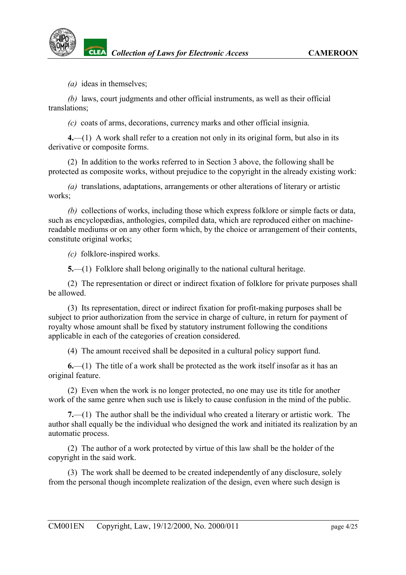*(a)* ideas in themselves;

*(b)* laws, court judgments and other official instruments, as well as their official translations;

*(c)* coats of arms, decorations, currency marks and other official insignia.

**4.**—(1) A work shall refer to a creation not only in its original form, but also in its derivative or composite forms.

(2) In addition to the works referred to in Section 3 above, the following shall be protected as composite works, without prejudice to the copyright in the already existing work:

*(a)* translations, adaptations, arrangements or other alterations of literary or artistic works;

*(b)* collections of works, including those which express folklore or simple facts or data, such as encyclopædias, anthologies, compiled data, which are reproduced either on machinereadable mediums or on any other form which, by the choice or arrangement of their contents, constitute original works;

*(c)* folklore-inspired works.

**5.**—(1) Folklore shall belong originally to the national cultural heritage.

(2) The representation or direct or indirect fixation of folklore for private purposes shall be allowed.

(3) Its representation, direct or indirect fixation for profit-making purposes shall be subject to prior authorization from the service in charge of culture, in return for payment of royalty whose amount shall be fixed by statutory instrument following the conditions applicable in each of the categories of creation considered.

(4) The amount received shall be deposited in a cultural policy support fund.

**6.**—(1) The title of a work shall be protected as the work itself insofar as it has an original feature.

(2) Even when the work is no longer protected, no one may use its title for another work of the same genre when such use is likely to cause confusion in the mind of the public.

**7.**—(1) The author shall be the individual who created a literary or artistic work. The author shall equally be the individual who designed the work and initiated its realization by an automatic process.

(2) The author of a work protected by virtue of this law shall be the holder of the copyright in the said work.

(3) The work shall be deemed to be created independently of any disclosure, solely from the personal though incomplete realization of the design, even where such design is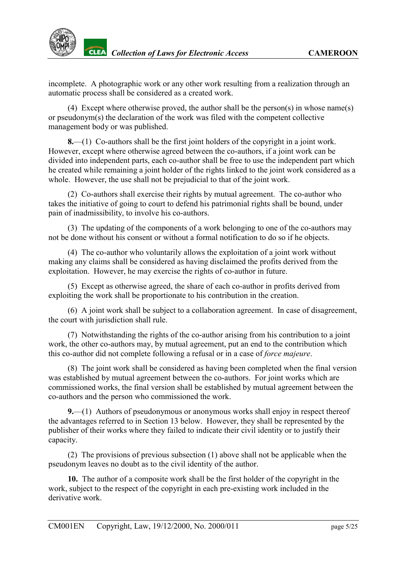

incomplete. A photographic work or any other work resulting from a realization through an automatic process shall be considered as a created work.

(4) Except where otherwise proved, the author shall be the person(s) in whose name(s) or pseudonym(s) the declaration of the work was filed with the competent collective management body or was published.

**8.**—(1) Co-authors shall be the first joint holders of the copyright in a joint work. However, except where otherwise agreed between the co-authors, if a joint work can be divided into independent parts, each co-author shall be free to use the independent part which he created while remaining a joint holder of the rights linked to the joint work considered as a whole. However, the use shall not be prejudicial to that of the joint work.

(2) Co-authors shall exercise their rights by mutual agreement. The co-author who takes the initiative of going to court to defend his patrimonial rights shall be bound, under pain of inadmissibility, to involve his co-authors.

(3) The updating of the components of a work belonging to one of the co-authors may not be done without his consent or without a formal notification to do so if he objects.

(4) The co-author who voluntarily allows the exploitation of a joint work without making any claims shall be considered as having disclaimed the profits derived from the exploitation. However, he may exercise the rights of co-author in future.

(5) Except as otherwise agreed, the share of each co-author in profits derived from exploiting the work shall be proportionate to his contribution in the creation.

(6) A joint work shall be subject to a collaboration agreement. In case of disagreement, the court with jurisdiction shall rule.

(7) Notwithstanding the rights of the co-author arising from his contribution to a joint work, the other co-authors may, by mutual agreement, put an end to the contribution which this co-author did not complete following a refusal or in a case of *force majeure*.

(8) The joint work shall be considered as having been completed when the final version was established by mutual agreement between the co-authors. For joint works which are commissioned works, the final version shall be established by mutual agreement between the co-authors and the person who commissioned the work.

**9.**—(1) Authors of pseudonymous or anonymous works shall enjoy in respect thereof the advantages referred to in Section 13 below. However, they shall be represented by the publisher of their works where they failed to indicate their civil identity or to justify their capacity.

(2) The provisions of previous subsection (1) above shall not be applicable when the pseudonym leaves no doubt as to the civil identity of the author.

**10.** The author of a composite work shall be the first holder of the copyright in the work, subject to the respect of the copyright in each pre-existing work included in the derivative work.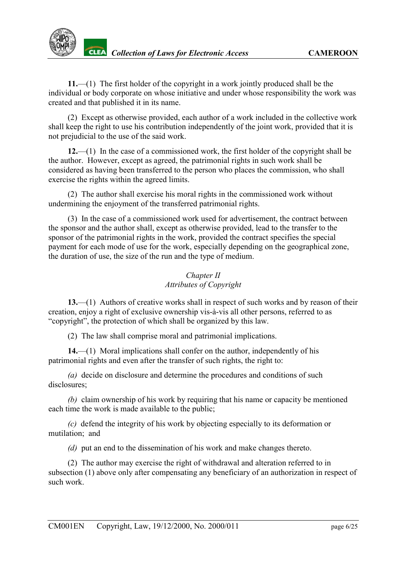**11.**—(1) The first holder of the copyright in a work jointly produced shall be the individual or body corporate on whose initiative and under whose responsibility the work was created and that published it in its name.

(2) Except as otherwise provided, each author of a work included in the collective work shall keep the right to use his contribution independently of the joint work, provided that it is not prejudicial to the use of the said work.

**12.**—(1) In the case of a commissioned work, the first holder of the copyright shall be the author. However, except as agreed, the patrimonial rights in such work shall be considered as having been transferred to the person who places the commission, who shall exercise the rights within the agreed limits.

(2) The author shall exercise his moral rights in the commissioned work without undermining the enjoyment of the transferred patrimonial rights.

(3) In the case of a commissioned work used for advertisement, the contract between the sponsor and the author shall, except as otherwise provided, lead to the transfer to the sponsor of the patrimonial rights in the work, provided the contract specifies the special payment for each mode of use for the work, especially depending on the geographical zone, the duration of use, the size of the run and the type of medium.

# *Chapter II Attributes of Copyright*

<span id="page-5-0"></span>**13.**—(1) Authors of creative works shall in respect of such works and by reason of their creation, enjoy a right of exclusive ownership vis-à-vis all other persons, referred to as "copyright", the protection of which shall be organized by this law.

(2) The law shall comprise moral and patrimonial implications.

**14.**—(1) Moral implications shall confer on the author, independently of his patrimonial rights and even after the transfer of such rights, the right to:

*(a)* decide on disclosure and determine the procedures and conditions of such disclosures;

*(b)* claim ownership of his work by requiring that his name or capacity be mentioned each time the work is made available to the public;

*(c)* defend the integrity of his work by objecting especially to its deformation or mutilation; and

*(d)* put an end to the dissemination of his work and make changes thereto.

(2) The author may exercise the right of withdrawal and alteration referred to in subsection (1) above only after compensating any beneficiary of an authorization in respect of such work.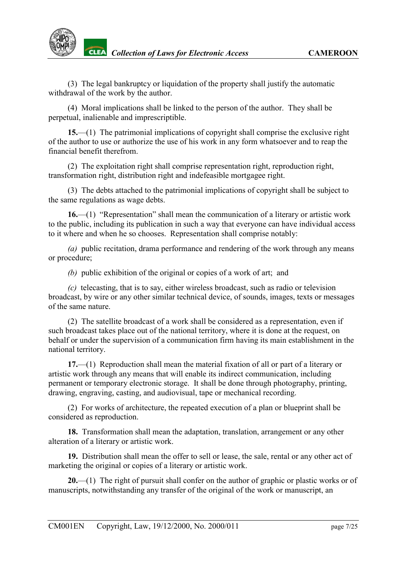

(3) The legal bankruptcy or liquidation of the property shall justify the automatic withdrawal of the work by the author.

(4) Moral implications shall be linked to the person of the author. They shall be perpetual, inalienable and imprescriptible.

**15.**—(1) The patrimonial implications of copyright shall comprise the exclusive right of the author to use or authorize the use of his work in any form whatsoever and to reap the financial benefit therefrom.

(2) The exploitation right shall comprise representation right, reproduction right, transformation right, distribution right and indefeasible mortgagee right.

(3) The debts attached to the patrimonial implications of copyright shall be subject to the same regulations as wage debts.

**16.**—(1) "Representation" shall mean the communication of a literary or artistic work to the public, including its publication in such a way that everyone can have individual access to it where and when he so chooses. Representation shall comprise notably:

*(a)* public recitation, drama performance and rendering of the work through any means or procedure;

*(b)* public exhibition of the original or copies of a work of art; and

*(c)* telecasting, that is to say, either wireless broadcast, such as radio or television broadcast, by wire or any other similar technical device, of sounds, images, texts or messages of the same nature.

(2) The satellite broadcast of a work shall be considered as a representation, even if such broadcast takes place out of the national territory, where it is done at the request, on behalf or under the supervision of a communication firm having its main establishment in the national territory.

**17.**—(1) Reproduction shall mean the material fixation of all or part of a literary or artistic work through any means that will enable its indirect communication, including permanent or temporary electronic storage. It shall be done through photography, printing, drawing, engraving, casting, and audiovisual, tape or mechanical recording.

(2) For works of architecture, the repeated execution of a plan or blueprint shall be considered as reproduction.

**18.** Transformation shall mean the adaptation, translation, arrangement or any other alteration of a literary or artistic work.

**19.** Distribution shall mean the offer to sell or lease, the sale, rental or any other act of marketing the original or copies of a literary or artistic work.

**20.**—(1) The right of pursuit shall confer on the author of graphic or plastic works or of manuscripts, notwithstanding any transfer of the original of the work or manuscript, an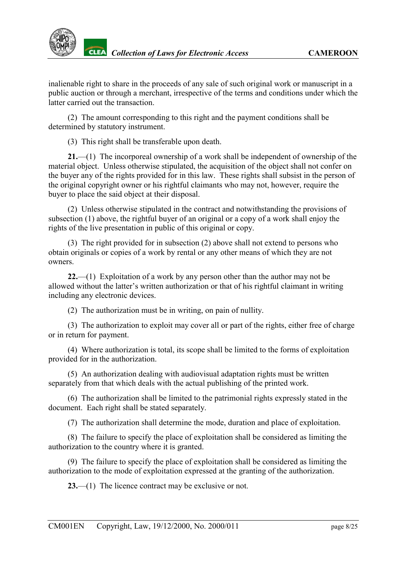inalienable right to share in the proceeds of any sale of such original work or manuscript in a public auction or through a merchant, irrespective of the terms and conditions under which the latter carried out the transaction.

(2) The amount corresponding to this right and the payment conditions shall be determined by statutory instrument.

(3) This right shall be transferable upon death.

**21.**—(1) The incorporeal ownership of a work shall be independent of ownership of the material object. Unless otherwise stipulated, the acquisition of the object shall not confer on the buyer any of the rights provided for in this law. These rights shall subsist in the person of the original copyright owner or his rightful claimants who may not, however, require the buyer to place the said object at their disposal.

(2) Unless otherwise stipulated in the contract and notwithstanding the provisions of subsection (1) above, the rightful buyer of an original or a copy of a work shall enjoy the rights of the live presentation in public of this original or copy.

(3) The right provided for in subsection (2) above shall not extend to persons who obtain originals or copies of a work by rental or any other means of which they are not owners.

**22.**—(1) Exploitation of a work by any person other than the author may not be allowed without the latter's written authorization or that of his rightful claimant in writing including any electronic devices.

(2) The authorization must be in writing, on pain of nullity.

(3) The authorization to exploit may cover all or part of the rights, either free of charge or in return for payment.

(4) Where authorization is total, its scope shall be limited to the forms of exploitation provided for in the authorization.

(5) An authorization dealing with audiovisual adaptation rights must be written separately from that which deals with the actual publishing of the printed work.

(6) The authorization shall be limited to the patrimonial rights expressly stated in the document. Each right shall be stated separately.

(7) The authorization shall determine the mode, duration and place of exploitation.

(8) The failure to specify the place of exploitation shall be considered as limiting the authorization to the country where it is granted.

(9) The failure to specify the place of exploitation shall be considered as limiting the authorization to the mode of exploitation expressed at the granting of the authorization.

**23.**—(1) The licence contract may be exclusive or not.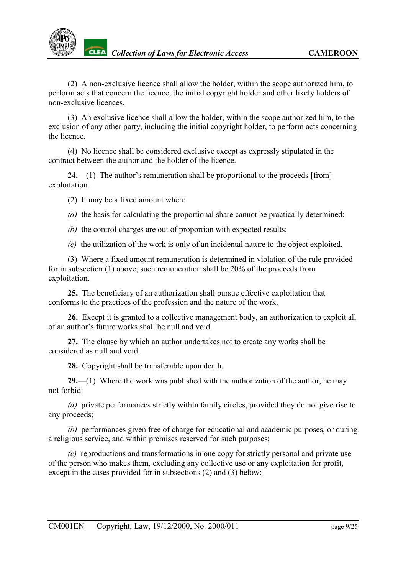

(2) A non-exclusive licence shall allow the holder, within the scope authorized him, to perform acts that concern the licence, the initial copyright holder and other likely holders of non-exclusive licences.

(3) An exclusive licence shall allow the holder, within the scope authorized him, to the exclusion of any other party, including the initial copyright holder, to perform acts concerning the licence.

(4) No licence shall be considered exclusive except as expressly stipulated in the contract between the author and the holder of the licence.

**24.**—(1) The author's remuneration shall be proportional to the proceeds [from] exploitation.

(2) It may be a fixed amount when:

*(a)* the basis for calculating the proportional share cannot be practically determined;

*(b)* the control charges are out of proportion with expected results;

*(c)* the utilization of the work is only of an incidental nature to the object exploited.

(3) Where a fixed amount remuneration is determined in violation of the rule provided for in subsection (1) above, such remuneration shall be 20% of the proceeds from exploitation.

**25.** The beneficiary of an authorization shall pursue effective exploitation that conforms to the practices of the profession and the nature of the work.

**26.** Except it is granted to a collective management body, an authorization to exploit all of an author's future works shall be null and void.

**27.** The clause by which an author undertakes not to create any works shall be considered as null and void.

**28.** Copyright shall be transferable upon death.

**29.**—(1) Where the work was published with the authorization of the author, he may not forbid:

*(a)* private performances strictly within family circles, provided they do not give rise to any proceeds;

*(b)* performances given free of charge for educational and academic purposes, or during a religious service, and within premises reserved for such purposes;

*(c)* reproductions and transformations in one copy for strictly personal and private use of the person who makes them, excluding any collective use or any exploitation for profit, except in the cases provided for in subsections (2) and (3) below;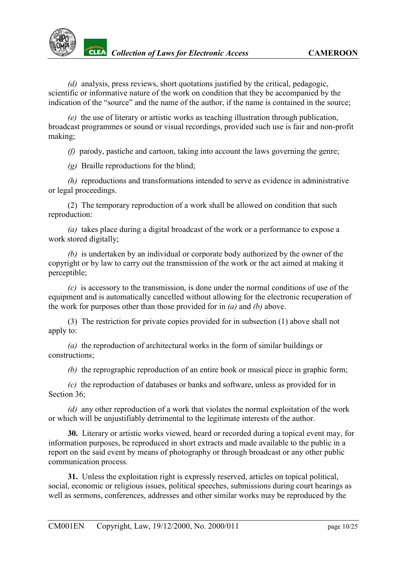*(d)* analysis, press reviews, short quotations justified by the critical, pedagogic, scientific or informative nature of the work on condition that they be accompanied by the indication of the "source" and the name of the author, if the name is contained in the source;

*(e)* the use of literary or artistic works as teaching illustration through publication, broadcast programmes or sound or visual recordings, provided such use is fair and non-profit making;

*(f)* parody, pastiche and cartoon, taking into account the laws governing the genre;

*(g)* Braille reproductions for the blind;

*(h)* reproductions and transformations intended to serve as evidence in administrative or legal proceedings.

(2) The temporary reproduction of a work shall be allowed on condition that such reproduction:

*(a)* takes place during a digital broadcast of the work or a performance to expose a work stored digitally;

*(b)* is undertaken by an individual or corporate body authorized by the owner of the copyright or by law to carry out the transmission of the work or the act aimed at making it perceptible;

*(c)* is accessory to the transmission, is done under the normal conditions of use of the equipment and is automatically cancelled without allowing for the electronic recuperation of the work for purposes other than those provided for in *(a)* and *(b)* above.

(3) The restriction for private copies provided for in subsection (1) above shall not apply to:

*(a)* the reproduction of architectural works in the form of similar buildings or constructions;

*(b)* the reprographic reproduction of an entire book or musical piece in graphic form;

*(c)* the reproduction of databases or banks and software, unless as provided for in Section 36:

*(d)* any other reproduction of a work that violates the normal exploitation of the work or which will be unjustifiably detrimental to the legitimate interests of the author.

**30.**Literary or artistic works viewed, heard or recorded during a topical event may, for information purposes, be reproduced in short extracts and made available to the public in a report on the said event by means of photography or through broadcast or any other public communication process.

**31.** Unless the exploitation right is expressly reserved, articles on topical political, social, economic or religious issues, political speeches, submissions during court hearings as well as sermons, conferences, addresses and other similar works may be reproduced by the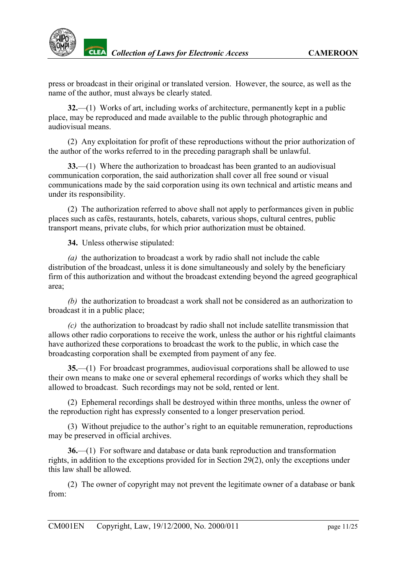

press or broadcast in their original or translated version. However, the source, as well as the name of the author, must always be clearly stated.

**32.**—(1) Works of art, including works of architecture, permanently kept in a public place, may be reproduced and made available to the public through photographic and audiovisual means.

(2) Any exploitation for profit of these reproductions without the prior authorization of the author of the works referred to in the preceding paragraph shall be unlawful.

**33.**—(1) Where the authorization to broadcast has been granted to an audiovisual communication corporation, the said authorization shall cover all free sound or visual communications made by the said corporation using its own technical and artistic means and under its responsibility.

(2) The authorization referred to above shall not apply to performances given in public places such as cafés, restaurants, hotels, cabarets, various shops, cultural centres, public transport means, private clubs, for which prior authorization must be obtained.

**34.** Unless otherwise stipulated:

*(a)* the authorization to broadcast a work by radio shall not include the cable distribution of the broadcast, unless it is done simultaneously and solely by the beneficiary firm of this authorization and without the broadcast extending beyond the agreed geographical area;

*(b)* the authorization to broadcast a work shall not be considered as an authorization to broadcast it in a public place;

*(c)* the authorization to broadcast by radio shall not include satellite transmission that allows other radio corporations to receive the work, unless the author or his rightful claimants have authorized these corporations to broadcast the work to the public, in which case the broadcasting corporation shall be exempted from payment of any fee.

**35.**—(1) For broadcast programmes, audiovisual corporations shall be allowed to use their own means to make one or several ephemeral recordings of works which they shall be allowed to broadcast. Such recordings may not be sold, rented or lent.

(2) Ephemeral recordings shall be destroyed within three months, unless the owner of the reproduction right has expressly consented to a longer preservation period.

(3) Without prejudice to the author's right to an equitable remuneration, reproductions may be preserved in official archives.

**36.**—(1) For software and database or data bank reproduction and transformation rights, in addition to the exceptions provided for in Section 29(2), only the exceptions under this law shall be allowed.

(2) The owner of copyright may not prevent the legitimate owner of a database or bank from: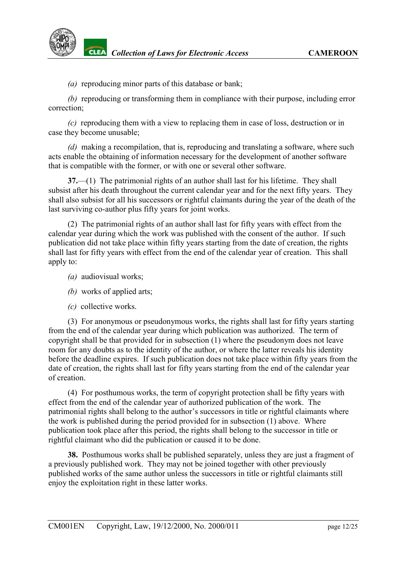

**CLEA** Collection of Laws for Electronic Access **CAMEROON** 

*(a)* reproducing minor parts of this database or bank;

*(b)* reproducing or transforming them in compliance with their purpose, including error correction;

*(c)* reproducing them with a view to replacing them in case of loss, destruction or in case they become unusable;

*(d)* making a recompilation, that is, reproducing and translating a software, where such acts enable the obtaining of information necessary for the development of another software that is compatible with the former, or with one or several other software.

**37.**—(1) The patrimonial rights of an author shall last for his lifetime. They shall subsist after his death throughout the current calendar year and for the next fifty years. They shall also subsist for all his successors or rightful claimants during the year of the death of the last surviving co-author plus fifty years for joint works.

(2) The patrimonial rights of an author shall last for fifty years with effect from the calendar year during which the work was published with the consent of the author. If such publication did not take place within fifty years starting from the date of creation, the rights shall last for fifty years with effect from the end of the calendar year of creation. This shall apply to:

- *(a)* audiovisual works;
- *(b)* works of applied arts;
- *(c)* collective works.

(3) For anonymous or pseudonymous works, the rights shall last for fifty years starting from the end of the calendar year during which publication was authorized. The term of copyright shall be that provided for in subsection (1) where the pseudonym does not leave room for any doubts as to the identity of the author, or where the latter reveals his identity before the deadline expires. If such publication does not take place within fifty years from the date of creation, the rights shall last for fifty years starting from the end of the calendar year of creation.

(4) For posthumous works, the term of copyright protection shall be fifty years with effect from the end of the calendar year of authorized publication of the work. The patrimonial rights shall belong to the author's successors in title or rightful claimants where the work is published during the period provided for in subsection (1) above. Where publication took place after this period, the rights shall belong to the successor in title or rightful claimant who did the publication or caused it to be done.

**38.** Posthumous works shall be published separately, unless they are just a fragment of a previously published work. They may not be joined together with other previously published works of the same author unless the successors in title or rightful claimants still enjoy the exploitation right in these latter works.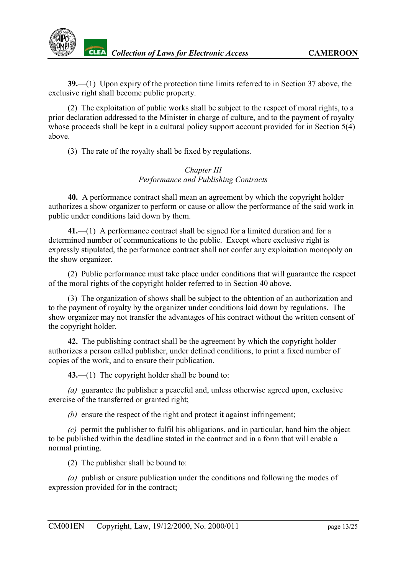**39.**—(1) Upon expiry of the protection time limits referred to in Section 37 above, the exclusive right shall become public property.

(2) The exploitation of public works shall be subject to the respect of moral rights, to a prior declaration addressed to the Minister in charge of culture, and to the payment of royalty whose proceeds shall be kept in a cultural policy support account provided for in Section 5(4) above.

(3) The rate of the royalty shall be fixed by regulations.

# *Chapter III Performance and Publishing Contracts*

<span id="page-12-0"></span>**40.** A performance contract shall mean an agreement by which the copyright holder authorizes a show organizer to perform or cause or allow the performance of the said work in public under conditions laid down by them.

**41.**—(1) A performance contract shall be signed for a limited duration and for a determined number of communications to the public. Except where exclusive right is expressly stipulated, the performance contract shall not confer any exploitation monopoly on the show organizer.

(2) Public performance must take place under conditions that will guarantee the respect of the moral rights of the copyright holder referred to in Section 40 above.

(3) The organization of shows shall be subject to the obtention of an authorization and to the payment of royalty by the organizer under conditions laid down by regulations. The show organizer may not transfer the advantages of his contract without the written consent of the copyright holder.

**42.** The publishing contract shall be the agreement by which the copyright holder authorizes a person called publisher, under defined conditions, to print a fixed number of copies of the work, and to ensure their publication.

**43.**—(1) The copyright holder shall be bound to:

*(a)* guarantee the publisher a peaceful and, unless otherwise agreed upon, exclusive exercise of the transferred or granted right;

*(b)* ensure the respect of the right and protect it against infringement;

*(c)* permit the publisher to fulfil his obligations, and in particular, hand him the object to be published within the deadline stated in the contract and in a form that will enable a normal printing.

(2) The publisher shall be bound to:

*(a)* publish or ensure publication under the conditions and following the modes of expression provided for in the contract;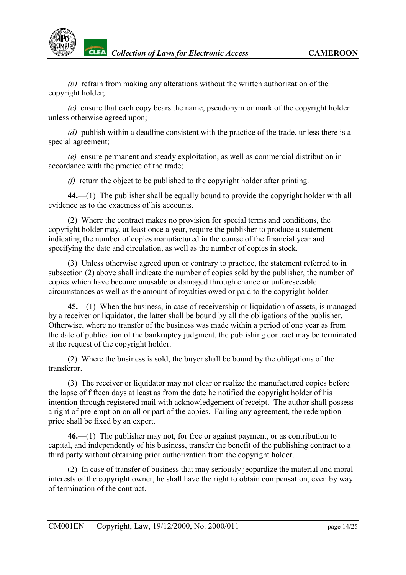*(b)* refrain from making any alterations without the written authorization of the copyright holder;

*(c)* ensure that each copy bears the name, pseudonym or mark of the copyright holder unless otherwise agreed upon;

*(d)* publish within a deadline consistent with the practice of the trade, unless there is a special agreement;

*(e)* ensure permanent and steady exploitation, as well as commercial distribution in accordance with the practice of the trade;

*(f)* return the object to be published to the copyright holder after printing.

**44.**—(1) The publisher shall be equally bound to provide the copyright holder with all evidence as to the exactness of his accounts.

(2) Where the contract makes no provision for special terms and conditions, the copyright holder may, at least once a year, require the publisher to produce a statement indicating the number of copies manufactured in the course of the financial year and specifying the date and circulation, as well as the number of copies in stock.

(3) Unless otherwise agreed upon or contrary to practice, the statement referred to in subsection (2) above shall indicate the number of copies sold by the publisher, the number of copies which have become unusable or damaged through chance or unforeseeable circumstances as well as the amount of royalties owed or paid to the copyright holder.

**45.**—(1) When the business, in case of receivership or liquidation of assets, is managed by a receiver or liquidator, the latter shall be bound by all the obligations of the publisher. Otherwise, where no transfer of the business was made within a period of one year as from the date of publication of the bankruptcy judgment, the publishing contract may be terminated at the request of the copyright holder.

(2) Where the business is sold, the buyer shall be bound by the obligations of the transferor.

(3) The receiver or liquidator may not clear or realize the manufactured copies before the lapse of fifteen days at least as from the date he notified the copyright holder of his intention through registered mail with acknowledgement of receipt. The author shall possess a right of pre-emption on all or part of the copies. Failing any agreement, the redemption price shall be fixed by an expert.

**46.**—(1) The publisher may not, for free or against payment, or as contribution to capital, and independently of his business, transfer the benefit of the publishing contract to a third party without obtaining prior authorization from the copyright holder.

(2) In case of transfer of business that may seriously jeopardize the material and moral interests of the copyright owner, he shall have the right to obtain compensation, even by way of termination of the contract.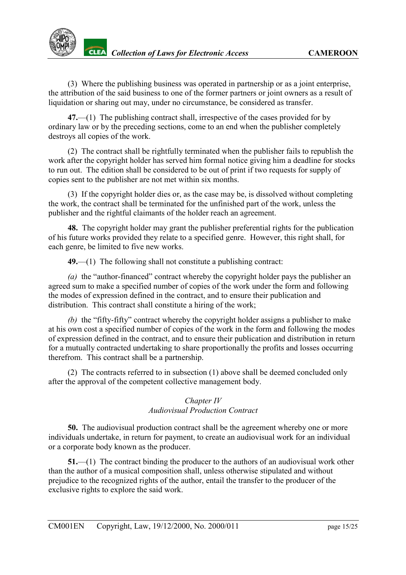(3) Where the publishing business was operated in partnership or as a joint enterprise, the attribution of the said business to one of the former partners or joint owners as a result of liquidation or sharing out may, under no circumstance, be considered as transfer.

**47.**—(1) The publishing contract shall, irrespective of the cases provided for by ordinary law or by the preceding sections, come to an end when the publisher completely destroys all copies of the work.

(2) The contract shall be rightfully terminated when the publisher fails to republish the work after the copyright holder has served him formal notice giving him a deadline for stocks to run out. The edition shall be considered to be out of print if two requests for supply of copies sent to the publisher are not met within six months.

(3) If the copyright holder dies or, as the case may be, is dissolved without completing the work, the contract shall be terminated for the unfinished part of the work, unless the publisher and the rightful claimants of the holder reach an agreement.

**48.** The copyright holder may grant the publisher preferential rights for the publication of his future works provided they relate to a specified genre. However, this right shall, for each genre, be limited to five new works.

**49.**—(1) The following shall not constitute a publishing contract:

*(a)* the "author-financed" contract whereby the copyright holder pays the publisher an agreed sum to make a specified number of copies of the work under the form and following the modes of expression defined in the contract, and to ensure their publication and distribution. This contract shall constitute a hiring of the work;

*(b)* the "fifty-fifty" contract whereby the copyright holder assigns a publisher to make at his own cost a specified number of copies of the work in the form and following the modes of expression defined in the contract, and to ensure their publication and distribution in return for a mutually contracted undertaking to share proportionally the profits and losses occurring therefrom. This contract shall be a partnership.

(2) The contracts referred to in subsection (1) above shall be deemed concluded only after the approval of the competent collective management body.

### *Chapter IV Audiovisual Production Contract*

<span id="page-14-0"></span>**50.** The audiovisual production contract shall be the agreement whereby one or more individuals undertake, in return for payment, to create an audiovisual work for an individual or a corporate body known as the producer.

**51.**—(1) The contract binding the producer to the authors of an audiovisual work other than the author of a musical composition shall, unless otherwise stipulated and without prejudice to the recognized rights of the author, entail the transfer to the producer of the exclusive rights to explore the said work.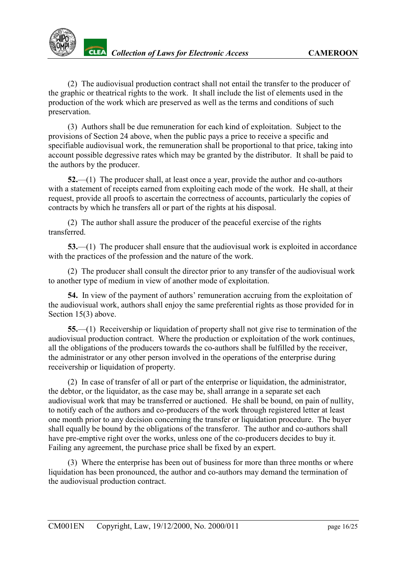(2) The audiovisual production contract shall not entail the transfer to the producer of the graphic or theatrical rights to the work. It shall include the list of elements used in the production of the work which are preserved as well as the terms and conditions of such preservation.

(3) Authors shall be due remuneration for each kind of exploitation. Subject to the provisions of Section 24 above, when the public pays a price to receive a specific and specifiable audiovisual work, the remuneration shall be proportional to that price, taking into account possible degressive rates which may be granted by the distributor. It shall be paid to the authors by the producer.

**52.**—(1) The producer shall, at least once a year, provide the author and co-authors with a statement of receipts earned from exploiting each mode of the work. He shall, at their request, provide all proofs to ascertain the correctness of accounts, particularly the copies of contracts by which he transfers all or part of the rights at his disposal.

(2) The author shall assure the producer of the peaceful exercise of the rights transferred.

**53.**—(1) The producer shall ensure that the audiovisual work is exploited in accordance with the practices of the profession and the nature of the work.

(2) The producer shall consult the director prior to any transfer of the audiovisual work to another type of medium in view of another mode of exploitation.

**54.** In view of the payment of authors' remuneration accruing from the exploitation of the audiovisual work, authors shall enjoy the same preferential rights as those provided for in Section 15(3) above.

**55.**—(1) Receivership or liquidation of property shall not give rise to termination of the audiovisual production contract. Where the production or exploitation of the work continues, all the obligations of the producers towards the co-authors shall be fulfilled by the receiver, the administrator or any other person involved in the operations of the enterprise during receivership or liquidation of property.

(2) In case of transfer of all or part of the enterprise or liquidation, the administrator, the debtor, or the liquidator, as the case may be, shall arrange in a separate set each audiovisual work that may be transferred or auctioned. He shall be bound, on pain of nullity, to notify each of the authors and co-producers of the work through registered letter at least one month prior to any decision concerning the transfer or liquidation procedure. The buyer shall equally be bound by the obligations of the transferor. The author and co-authors shall have pre-emptive right over the works, unless one of the co-producers decides to buy it. Failing any agreement, the purchase price shall be fixed by an expert.

(3) Where the enterprise has been out of business for more than three months or where liquidation has been pronounced, the author and co-authors may demand the termination of the audiovisual production contract.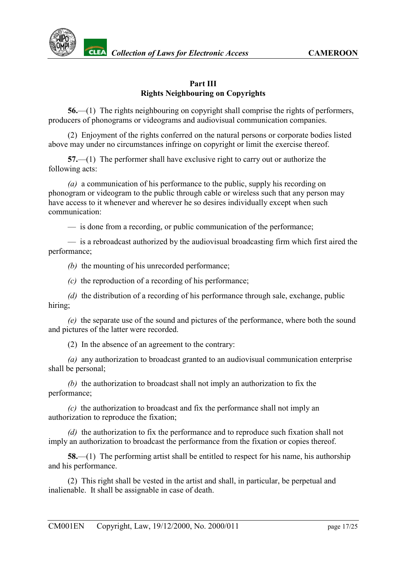

### **Part III Rights Neighbouring on Copyrights**

<span id="page-16-0"></span>**56.**—(1) The rights neighbouring on copyright shall comprise the rights of performers, producers of phonograms or videograms and audiovisual communication companies.

(2) Enjoyment of the rights conferred on the natural persons or corporate bodies listed above may under no circumstances infringe on copyright or limit the exercise thereof.

**57.**—(1) The performer shall have exclusive right to carry out or authorize the following acts:

*(a)* a communication of his performance to the public, supply his recording on phonogram or videogram to the public through cable or wireless such that any person may have access to it whenever and wherever he so desires individually except when such communication:

— is done from a recording, or public communication of the performance;

— is a rebroadcast authorized by the audiovisual broadcasting firm which first aired the performance;

*(b)* the mounting of his unrecorded performance;

*(c)* the reproduction of a recording of his performance;

*(d)* the distribution of a recording of his performance through sale, exchange, public hiring;

*(e)* the separate use of the sound and pictures of the performance, where both the sound and pictures of the latter were recorded.

(2) In the absence of an agreement to the contrary:

*(a)* any authorization to broadcast granted to an audiovisual communication enterprise shall be personal;

*(b)* the authorization to broadcast shall not imply an authorization to fix the performance;

*(c)* the authorization to broadcast and fix the performance shall not imply an authorization to reproduce the fixation;

*(d)* the authorization to fix the performance and to reproduce such fixation shall not imply an authorization to broadcast the performance from the fixation or copies thereof.

**58.**—(1) The performing artist shall be entitled to respect for his name, his authorship and his performance.

(2) This right shall be vested in the artist and shall, in particular, be perpetual and inalienable. It shall be assignable in case of death.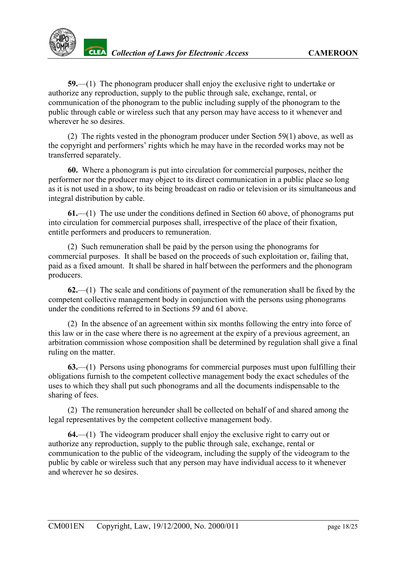

**59.**—(1) The phonogram producer shall enjoy the exclusive right to undertake or authorize any reproduction, supply to the public through sale, exchange, rental, or communication of the phonogram to the public including supply of the phonogram to the public through cable or wireless such that any person may have access to it whenever and wherever he so desires.

(2) The rights vested in the phonogram producer under Section 59(1) above, as well as the copyright and performers' rights which he may have in the recorded works may not be transferred separately.

**60.** Where a phonogram is put into circulation for commercial purposes, neither the performer nor the producer may object to its direct communication in a public place so long as it is not used in a show, to its being broadcast on radio or television or its simultaneous and integral distribution by cable.

**61.**—(1) The use under the conditions defined in Section 60 above, of phonograms put into circulation for commercial purposes shall, irrespective of the place of their fixation, entitle performers and producers to remuneration.

(2) Such remuneration shall be paid by the person using the phonograms for commercial purposes. It shall be based on the proceeds of such exploitation or, failing that, paid as a fixed amount. It shall be shared in half between the performers and the phonogram producers.

**62.**—(1) The scale and conditions of payment of the remuneration shall be fixed by the competent collective management body in conjunction with the persons using phonograms under the conditions referred to in Sections 59 and 61 above.

(2) In the absence of an agreement within six months following the entry into force of this law or in the case where there is no agreement at the expiry of a previous agreement, an arbitration commission whose composition shall be determined by regulation shall give a final ruling on the matter.

**63.**—(1) Persons using phonograms for commercial purposes must upon fulfilling their obligations furnish to the competent collective management body the exact schedules of the uses to which they shall put such phonograms and all the documents indispensable to the sharing of fees.

(2) The remuneration hereunder shall be collected on behalf of and shared among the legal representatives by the competent collective management body.

**64.**—(1) The videogram producer shall enjoy the exclusive right to carry out or authorize any reproduction, supply to the public through sale, exchange, rental or communication to the public of the videogram, including the supply of the videogram to the public by cable or wireless such that any person may have individual access to it whenever and wherever he so desires.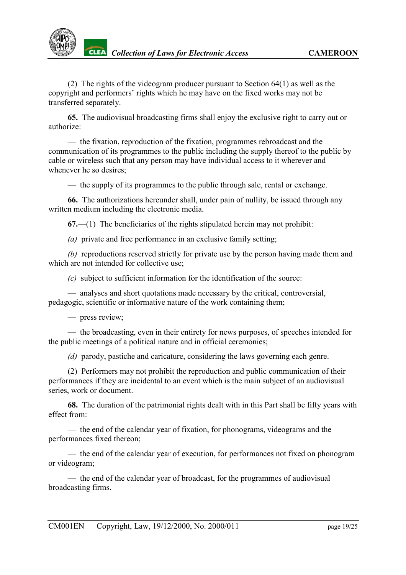

(2) The rights of the videogram producer pursuant to Section 64(1) as well as the copyright and performers' rights which he may have on the fixed works may not be transferred separately.

**65.** The audiovisual broadcasting firms shall enjoy the exclusive right to carry out or authorize:

— the fixation, reproduction of the fixation, programmes rebroadcast and the communication of its programmes to the public including the supply thereof to the public by cable or wireless such that any person may have individual access to it wherever and whenever he so desires;

— the supply of its programmes to the public through sale, rental or exchange.

**66.** The authorizations hereunder shall, under pain of nullity, be issued through any written medium including the electronic media.

**67.**—(1) The beneficiaries of the rights stipulated herein may not prohibit:

*(a)* private and free performance in an exclusive family setting;

*(b)* reproductions reserved strictly for private use by the person having made them and which are not intended for collective use;

*(c)* subject to sufficient information for the identification of the source:

— analyses and short quotations made necessary by the critical, controversial, pedagogic, scientific or informative nature of the work containing them;

#### — press review;

— the broadcasting, even in their entirety for news purposes, of speeches intended for the public meetings of a political nature and in official ceremonies;

*(d)* parody, pastiche and caricature, considering the laws governing each genre.

(2) Performers may not prohibit the reproduction and public communication of their performances if they are incidental to an event which is the main subject of an audiovisual series, work or document.

**68.** The duration of the patrimonial rights dealt with in this Part shall be fifty years with effect from:

— the end of the calendar year of fixation, for phonograms, videograms and the performances fixed thereon;

— the end of the calendar year of execution, for performances not fixed on phonogram or videogram;

— the end of the calendar year of broadcast, for the programmes of audiovisual broadcasting firms.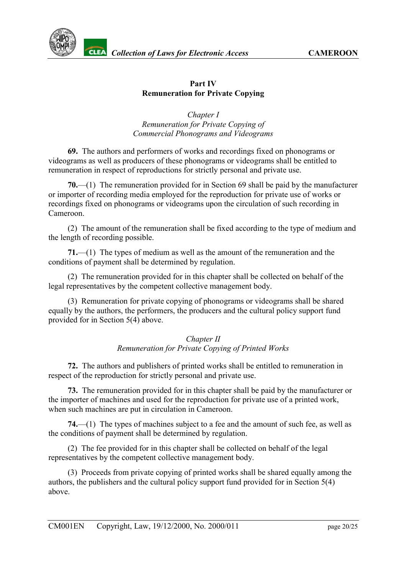

# **Part IV Remuneration for Private Copying**

*Chapter I Remuneration for Private Copying of Commercial Phonograms and Videograms*

<span id="page-19-0"></span>**69.** The authors and performers of works and recordings fixed on phonograms or videograms as well as producers of these phonograms or videograms shall be entitled to remuneration in respect of reproductions for strictly personal and private use.

**70.**—(1)The remuneration provided for in Section 69 shall be paid by the manufacturer or importer of recording media employed for the reproduction for private use of works or recordings fixed on phonograms or videograms upon the circulation of such recording in Cameroon.

(2) The amount of the remuneration shall be fixed according to the type of medium and the length of recording possible.

**71.**—(1) The types of medium as well as the amount of the remuneration and the conditions of payment shall be determined by regulation.

(2) The remuneration provided for in this chapter shall be collected on behalf of the legal representatives by the competent collective management body.

(3) Remuneration for private copying of phonograms or videograms shall be shared equally by the authors, the performers, the producers and the cultural policy support fund provided for in Section 5(4) above.

### *Chapter II Remuneration for Private Copying of Printed Works*

<span id="page-19-1"></span>**72.** The authors and publishers of printed works shall be entitled to remuneration in respect of the reproduction for strictly personal and private use.

**73.** The remuneration provided for in this chapter shall be paid by the manufacturer or the importer of machines and used for the reproduction for private use of a printed work, when such machines are put in circulation in Cameroon.

**74.**—(1) The types of machines subject to a fee and the amount of such fee, as well as the conditions of payment shall be determined by regulation.

(2) The fee provided for in this chapter shall be collected on behalf of the legal representatives by the competent collective management body.

(3) Proceeds from private copying of printed works shall be shared equally among the authors, the publishers and the cultural policy support fund provided for in Section 5(4) above.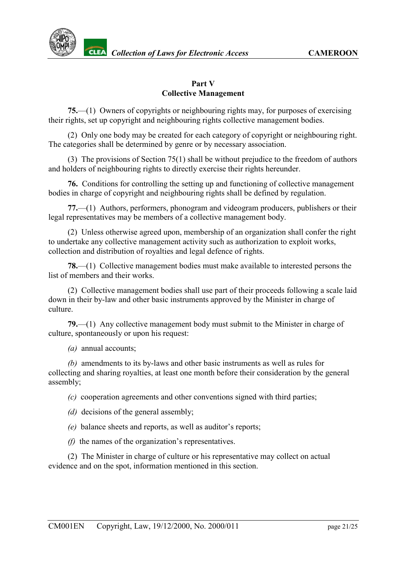



### **Part V Collective Management**

<span id="page-20-0"></span>**75.**—(1) Owners of copyrights or neighbouring rights may, for purposes of exercising their rights, set up copyright and neighbouring rights collective management bodies.

(2) Only one body may be created for each category of copyright or neighbouring right. The categories shall be determined by genre or by necessary association.

(3) The provisions of Section 75(1) shall be without prejudice to the freedom of authors and holders of neighbouring rights to directly exercise their rights hereunder.

**76.** Conditions for controlling the setting up and functioning of collective management bodies in charge of copyright and neighbouring rights shall be defined by regulation.

**77.**—(1) Authors, performers, phonogram and videogram producers, publishers or their legal representatives may be members of a collective management body.

(2) Unless otherwise agreed upon, membership of an organization shall confer the right to undertake any collective management activity such as authorization to exploit works, collection and distribution of royalties and legal defence of rights.

**78.**—(1) Collective management bodies must make available to interested persons the list of members and their works.

(2) Collective management bodies shall use part of their proceeds following a scale laid down in their by-law and other basic instruments approved by the Minister in charge of culture.

**79.**—(1) Any collective management body must submit to the Minister in charge of culture, spontaneously or upon his request:

*(a)* annual accounts;

*(b)* amendments to its by-laws and other basic instruments as well as rules for collecting and sharing royalties, at least one month before their consideration by the general assembly;

*(c)* cooperation agreements and other conventions signed with third parties;

- *(d)* decisions of the general assembly;
- *(e)* balance sheets and reports, as well as auditor's reports;
- *(f)* the names of the organization's representatives.

(2) The Minister in charge of culture or his representative may collect on actual evidence and on the spot, information mentioned in this section.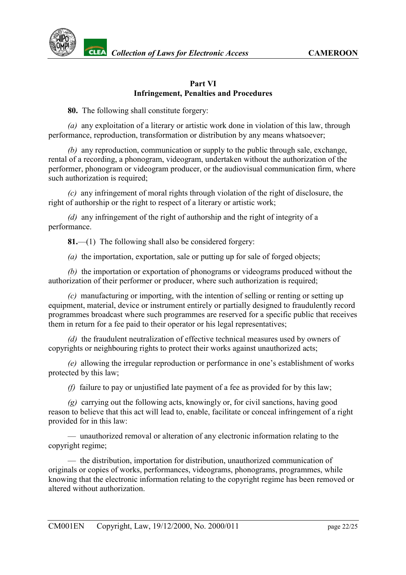

#### **Part VI Infringement, Penalties and Procedures**

<span id="page-21-0"></span>**80.** The following shall constitute forgery:

*(a)* any exploitation of a literary or artistic work done in violation of this law, through performance, reproduction, transformation or distribution by any means whatsoever;

*(b)* any reproduction, communication or supply to the public through sale, exchange, rental of a recording, a phonogram, videogram, undertaken without the authorization of the performer, phonogram or videogram producer, or the audiovisual communication firm, where such authorization is required;

*(c)* any infringement of moral rights through violation of the right of disclosure, the right of authorship or the right to respect of a literary or artistic work;

*(d)* any infringement of the right of authorship and the right of integrity of a performance.

**81.**—(1) The following shall also be considered forgery:

*(a)* the importation, exportation, sale or putting up for sale of forged objects;

*(b)* the importation or exportation of phonograms or videograms produced without the authorization of their performer or producer, where such authorization is required;

*(c)* manufacturing or importing, with the intention of selling or renting or setting up equipment, material, device or instrument entirely or partially designed to fraudulently record programmes broadcast where such programmes are reserved for a specific public that receives them in return for a fee paid to their operator or his legal representatives;

*(d)* the fraudulent neutralization of effective technical measures used by owners of copyrights or neighbouring rights to protect their works against unauthorized acts;

*(e)* allowing the irregular reproduction or performance in one's establishment of works protected by this law;

*(f)* failure to pay or unjustified late payment of a fee as provided for by this law;

*(g)* carrying out the following acts, knowingly or, for civil sanctions, having good reason to believe that this act will lead to, enable, facilitate or conceal infringement of a right provided for in this law:

— unauthorized removal or alteration of any electronic information relating to the copyright regime;

— the distribution, importation for distribution, unauthorized communication of originals or copies of works, performances, videograms, phonograms, programmes, while knowing that the electronic information relating to the copyright regime has been removed or altered without authorization.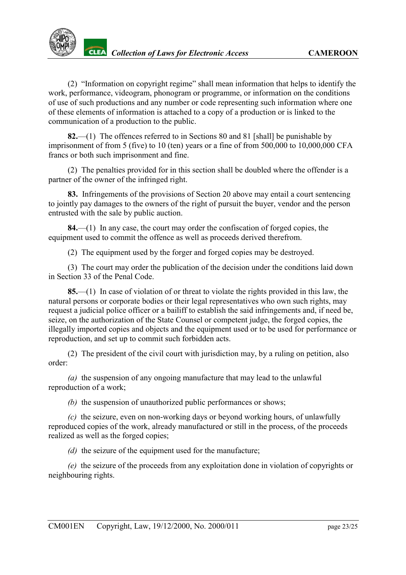

(2) "Information on copyright regime" shall mean information that helps to identify the work, performance, videogram, phonogram or programme, or information on the conditions of use of such productions and any number or code representing such information where one of these elements of information is attached to a copy of a production or is linked to the communication of a production to the public.

**82.**—(1) The offences referred to in Sections 80 and 81 [shall] be punishable by imprisonment of from 5 (five) to 10 (ten) years or a fine of from 500,000 to 10,000,000 CFA francs or both such imprisonment and fine.

(2) The penalties provided for in this section shall be doubled where the offender is a partner of the owner of the infringed right.

**83.** Infringements of the provisions of Section 20 above may entail a court sentencing to jointly pay damages to the owners of the right of pursuit the buyer, vendor and the person entrusted with the sale by public auction.

**84.**—(1) In any case, the court may order the confiscation of forged copies, the equipment used to commit the offence as well as proceeds derived therefrom.

(2) The equipment used by the forger and forged copies may be destroyed.

(3) The court may order the publication of the decision under the conditions laid down in Section 33 of the Penal Code.

**85.**—(1) In case of violation of or threat to violate the rights provided in this law, the natural persons or corporate bodies or their legal representatives who own such rights, may request a judicial police officer or a bailiff to establish the said infringements and, if need be, seize, on the authorization of the State Counsel or competent judge, the forged copies, the illegally imported copies and objects and the equipment used or to be used for performance or reproduction, and set up to commit such forbidden acts.

(2) The president of the civil court with jurisdiction may, by a ruling on petition, also order:

*(a)* the suspension of any ongoing manufacture that may lead to the unlawful reproduction of a work;

*(b)* the suspension of unauthorized public performances or shows;

*(c)* the seizure, even on non-working days or beyond working hours, of unlawfully reproduced copies of the work, already manufactured or still in the process, of the proceeds realized as well as the forged copies;

*(d)* the seizure of the equipment used for the manufacture;

*(e)* the seizure of the proceeds from any exploitation done in violation of copyrights or neighbouring rights.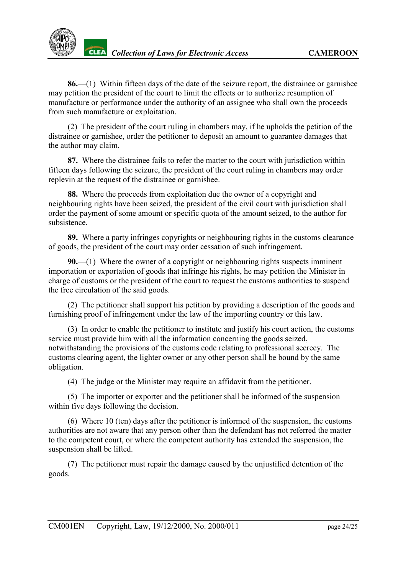

**86.**—(1) Within fifteen days of the date of the seizure report, the distrainee or garnishee may petition the president of the court to limit the effects or to authorize resumption of manufacture or performance under the authority of an assignee who shall own the proceeds from such manufacture or exploitation.

(2) The president of the court ruling in chambers may, if he upholds the petition of the distrainee or garnishee, order the petitioner to deposit an amount to guarantee damages that the author may claim.

**87.** Where the distrainee fails to refer the matter to the court with jurisdiction within fifteen days following the seizure, the president of the court ruling in chambers may order replevin at the request of the distrainee or garnishee.

**88.** Where the proceeds from exploitation due the owner of a copyright and neighbouring rights have been seized, the president of the civil court with jurisdiction shall order the payment of some amount or specific quota of the amount seized, to the author for subsistence.

**89.** Where a party infringes copyrights or neighbouring rights in the customs clearance of goods, the president of the court may order cessation of such infringement.

**90.**—(1) Where the owner of a copyright or neighbouring rights suspects imminent importation or exportation of goods that infringe his rights, he may petition the Minister in charge of customs or the president of the court to request the customs authorities to suspend the free circulation of the said goods.

(2) The petitioner shall support his petition by providing a description of the goods and furnishing proof of infringement under the law of the importing country or this law.

(3) In order to enable the petitioner to institute and justify his court action, the customs service must provide him with all the information concerning the goods seized, notwithstanding the provisions of the customs code relating to professional secrecy. The customs clearing agent, the lighter owner or any other person shall be bound by the same obligation.

(4) The judge or the Minister may require an affidavit from the petitioner.

(5) The importer or exporter and the petitioner shall be informed of the suspension within five days following the decision.

(6) Where 10 (ten) days after the petitioner is informed of the suspension, the customs authorities are not aware that any person other than the defendant has not referred the matter to the competent court, or where the competent authority has extended the suspension, the suspension shall be lifted.

(7) The petitioner must repair the damage caused by the unjustified detention of the goods.